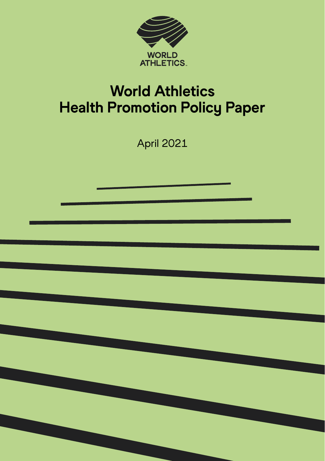

# World Athletics Health Promotion Policy Paper

April 2021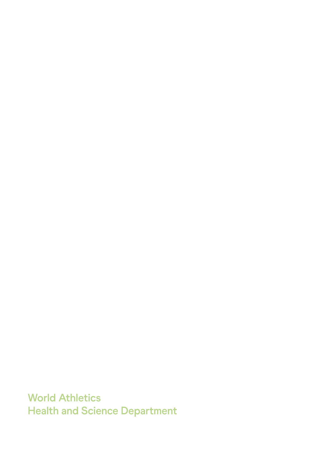**World Athletics Health and Science Department**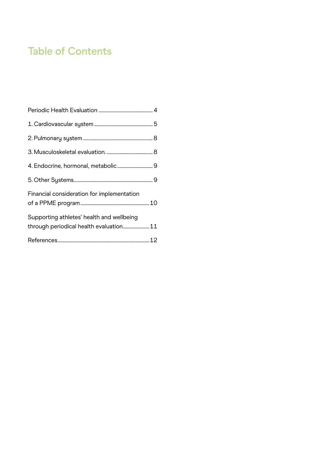## **Table of Contents**

| Financial consideration for implementation                                           |  |
|--------------------------------------------------------------------------------------|--|
| Supporting athletes' health and wellbeing<br>through periodical health evaluation 11 |  |
|                                                                                      |  |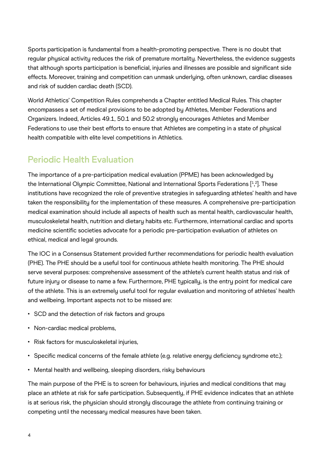<span id="page-3-0"></span>Sports participation is fundamental from a health-promoting perspective. There is no doubt that regular phusical activity reduces the risk of premature mortality. Nevertheless, the evidence suggests that although sports participation is beneficial, injuries and illnesses are possible and significant side effects. Moreover, training and competition can unmask underluing, often unknown, cardiac diseases and risk of sudden cardiac death (SCD).

World Athletics' Competition Rules comprehends a Chapter entitled Medical Rules. This chapter encompasses a set of medical provisions to be adopted by Athletes, Member Federations and Organizers. Indeed, Articles 49.1, 50.1 and 50.2 strongly encourages Athletes and Member Federations to use their best efforts to ensure that Athletes are competing in a state of physical health compatible with elite level competitions in Athletics.

### **Periodic Health Evaluation**

The importance of a pre-participation medical evaluation (PPME) has been acknowledged by the International Olympic Committee, National and International Sports Federations [\[1,](#page-11-0) [2](#page-11-0)]. These institutions have recognized the role of preventive strategies in safeguarding athletes' health and have taken the responsibility for the implementation of these measures. A comprehensive pre-participation medical examination should include all aspects of health such as mental health, cardiovascular health, musculoskeletal health, nutrition and dietary habits etc. Furthermore, international cardiac and sports medicine scientific societies advocate for a periodic pre-participation evaluation of athletes on ethical, medical and legal grounds.

The IOC in a Consensus Statement provided further recommendations for periodic health evaluation (PHE). The PHE should be a useful tool for continuous athlete health monitoring. The PHE should serve several purposes: comprehensive assessment of the athlete's current health status and risk of future injury or disease to name a few. Furthermore, PHE typically, is the entry point for medical care of the athlete. This is an extremely useful tool for regular evaluation and monitoring of athletes' health and wellbeing. Important aspects not to be missed are:

- SCD and the detection of risk factors and groups
- Non-cardiac medical problems,
- Risk factors for musculoskeletal injuries,
- Specific medical concerns of the female athlete (e.g. relative energy deficiency syndrome etc.);
- Mental health and wellbeing, sleeping disorders, risky behaviours

The main purpose of the PHE is to screen for behaviours, injuries and medical conditions that may place an athlete at risk for safe participation. Subsequently, if PHE evidence indicates that an athlete is at serious risk, the physician should strongly discourage the athlete from continuing training or competing until the necessary medical measures have been taken.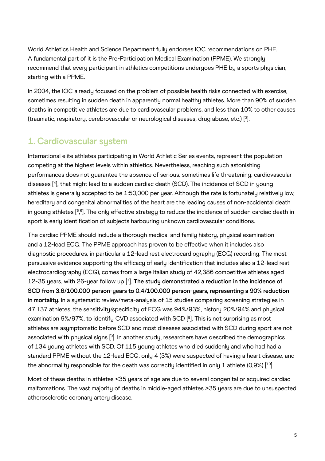<span id="page-4-0"></span>World Athletics Health and Science Department fully endorses IOC recommendations on PHE. A fundamental part of it is the Pre-Participation Medical Examination (PPME). We strongly recommend that every participant in athletics competitions undergoes PHE by a sports physician, starting with a PPME.

In 2004, the IOC alreadu focused on the problem of possible health risks connected with exercise, sometimes resulting in sudden death in apparently normal healthy athletes. More than 90% of sudden deaths in competitive athletes are due to cardiovascular problems, and less than 10% to other causes (traumatic, respiratory, cerebrovascular or neurological diseases, drug abuse, etc.) [\[3](#page-11-0)].

### **1. Cardiovascular system**

International elite athletes participating in World Athletic Series events, represent the population competing at the highest levels within athletics. Nevertheless, reaching such astonishing performances does not guarantee the absence of serious, sometimes life threatening, cardiovascular diseases [\[4](#page-11-0)], that might lead to a sudden cardiac death (SCD). The incidence of SCD in young athletes is generally accepted to be 1:50,000 per year. Although the rate is fortunately relatively low, hereditary and congenital abnormalities of the heart are the leading causes of non-accidental death in young athletes [\[5,](#page-11-0) [6](#page-11-0)]. The only effective strategy to reduce the incidence of sudden cardiac death in sport is early identification of subjects harbouring unknown cardiovascular conditions.

The cardiac PPME should include a thorough medical and family history, physical examination and a 12-lead ECG. The PPME approach has proven to be effective when it includes also diagnostic procedures, in particular a 12-lead rest electrocardiography (ECG) recording. The most persuasive evidence supporting the efficacy of early identification that includes also a 12-lead rest electrocardiography (ECG), comes from a large Italian study of 42,386 competitive athletes aged 12-35 years, with 26-year follow up [\[7](#page-11-0)]. **The study demonstrated a reduction in the incidence of SCD from 3.6/100.000 person-years to 0.4/100.000 person-years, representing a 90% reduction in mortality**. In a systematic review/meta-analysis of 15 studies comparing screening strategies in 47.137 athletes, the sensitivity/specificity of ECG was 94%/93%, history 20%/94% and physical examination 9%/97%, to identify CVD associated with SCD [\[8\]](#page-11-0). This is not surprising as most athletes are asymptomatic before SCD and most diseases associated with SCD during sport are not associated with physical signs [[9\]](#page-11-0). In another study, researchers have described the demographics of 134 young athletes with SCD. Of 115 young athletes who died suddenly and who had had a standard PPME without the 12-lead ECG, only 4 (3%) were suspected of having a heart disease, and the abnormality responsible for the death was correctly identified in only 1 athlete (0,9%) [\[10\]](#page-12-0).

Most of these deaths in athletes <35 years of age are due to several congenital or acquired cardiac malformations. The vast majority of deaths in middle-aged athletes >35 years are due to unsuspected atherosclerotic coronary artery disease.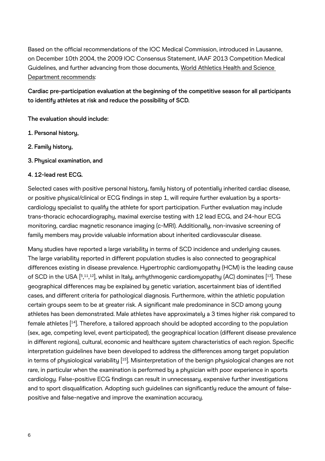<span id="page-5-0"></span>Based on the official recommendations of the IOC Medical Commission, introduced in Lausanne, on December 10th 2004, the 2009 IOC Consensus Statement, IAAF 2013 Competition Medical Guidelines, and further advancing from those documents, World Athletics Health and Science Department recommends:

**Cardiac pre-participation evaluation at the beginning of the competitive season for all participants to identify athletes at risk and reduce the possibility of SCD.** 

**The evaluation should include:** 

- **1. Personal history,**
- **2. Family history,**
- **3. Physical examination, and**

#### **4. 12-lead rest ECG.**

Selected cases with positive personal history, family history of potentially inherited cardiac disease, or positive physical/clinical or ECG findings in step 1, will require further evaluation by a sportscardiology specialist to qualify the athlete for sport participation. Further evaluation may include trans-thoracic echocardiography, maximal exercise testing with 12 lead ECG, and 24-hour ECG monitoring, cardiac magnetic resonance imaging (c-MRI). Additionally, non-invasive screening of family members may provide valuable information about inherited cardiovascular disease.

Many studies have reported a large variability in terms of SCD incidence and underlying causes. The large variability reported in different population studies is also connected to geographical differences existing in disease prevalence. Hypertrophic cardiomyopathy (HCM) is the leading cause of SCD in the USA  $[5,11,12]$  $[5,11,12]$  $[5,11,12]$  $[5,11,12]$  $[5,11,12]$ , whilst in Italy, arrhythmogenic cardiomyopathy (AC) dominates  $[13]$  $[13]$  $[13]$ . These , , geographical differences may be explained by genetic variation, ascertainment bias of identified cases, and different criteria for pathological diagnosis. Furthermore, within the athletic population certain groups seem to be at greater risk. A significant male predominance in SCD among young athletes has been demonstrated. Male athletes have approximately a 3 times higher risk compared to female athletes [[14](#page-12-0)]. Therefore, a tailored approach should be adopted according to the population (sex, age, competing level, event participated), the geographical location (different disease prevalence in different regions), cultural, economic and healthcare system characteristics of each region. Specific interpretation guidelines have been developed to address the differences among target population in terms of physiological variability [[15](#page-12-0)]. Misinterpretation of the benign physiological changes are not rare, in particular when the examination is performed by a physician with poor experience in sports cardiology. False-positive ECG findings can result in unnecessary, expensive further investigations and to sport disqualification. Adopting such guidelines can significantly reduce the amount of falsepositive and false-negative and improve the examination accuracy.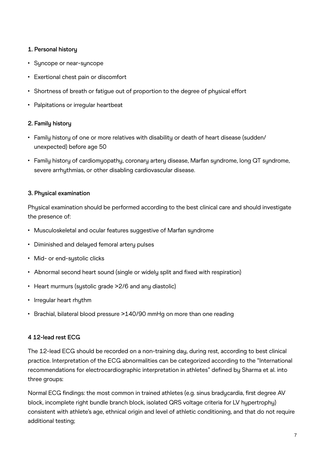#### **1. Personal history**

- Suncope or near-suncope
- Exertional chest pain or discomfort
- Shortness of breath or fatigue out of proportion to the degree of physical effort
- Palpitations or irregular heartbeat

#### **2. Family history**

- Family history of one or more relatives with disability or death of heart disease (sudden/ unexpected) before age 50
- Family history of cardiomyopathy, coronary artery disease, Marfan syndrome, long QT syndrome, severe arrhythmias, or other disabling cardiovascular disease.

#### **3. Physical examination**

Physical examination should be performed according to the best clinical care and should investigate the presence of:

- Musculoskeletal and ocular features suggestive of Marfan syndrome
- Diminished and delayed femoral artery pulses
- Mid- or end-systolic clicks
- Abnormal second heart sound (single or widely split and fixed with respiration)
- Heart murmurs (systolic grade >2/6 and any diastolic)
- Irregular heart rhythm
- Brachial, bilateral blood pressure >140/90 mmHg on more than one reading

#### **4 12-lead rest ECG**

The 12-lead ECG should be recorded on a non-training day, during rest, according to best clinical practice. Interpretation of the ECG abnormalities can be categorized according to the "International recommendations for electrocardiographic interpretation in athletes" defined by Sharma et al. into three groups:

Normal ECG findings: the most common in trained athletes (e.g. sinus bradycardia, first degree AV block, incomplete right bundle branch block, isolated QRS voltage criteria for LV hypertrophy) consistent with athlete's age, ethnical origin and level of athletic conditioning, and that do not require additional testing;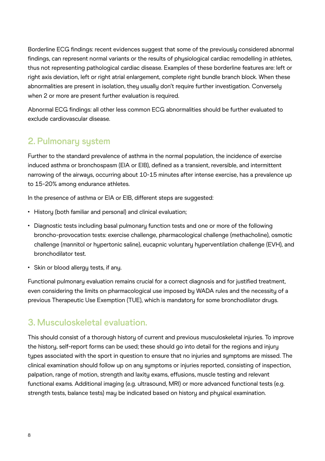<span id="page-7-0"></span>Borderline ECG findings: recent evidences suggest that some of the previously considered abnormal findings, can represent normal variants or the results of phusiological cardiac remodelling in athletes, thus not representing pathological cardiac disease. Examples of these borderline features are: left or right axis deviation, left or right atrial enlargement, complete right bundle branch block. When these abnormalities are present in isolation, they usually don't require further investigation. Conversely when 2 or more are present further evaluation is required.

Abnormal ECG findings: all other less common ECG abnormalities should be further evaluated to exclude cardiovascular disease.

### **2. Pulmonary system**

Further to the standard prevalence of asthma in the normal population, the incidence of exercise induced asthma or bronchospasm (EIA or EIB), defined as a transient, reversible, and intermittent narrowing of the airways, occurring about 10-15 minutes after intense exercise, has a prevalence up to 15-20% among endurance athletes.

In the presence of asthma or EIA or EIB, different steps are suggested:

- History (both familiar and personal) and clinical evaluation;
- Diagnostic tests including basal pulmonary function tests and one or more of the following broncho-provocation tests: exercise challenge, pharmacological challenge (methacholine), osmotic challenge (mannitol or hypertonic saline), eucapnic voluntary hyperventilation challenge (EVH), and bronchodilator test.
- Skin or blood allergy tests, if any.

Functional pulmonary evaluation remains crucial for a correct diagnosis and for justified treatment, even considering the limits on pharmacological use imposed by WADA rules and the necessity of a previous Therapeutic Use Exemption (TUE), which is mandatory for some bronchodilator drugs.

#### **3. Musculoskeletal evaluation.**

This should consist of a thorough history of current and previous musculoskeletal injuries. To improve the history, self-report forms can be used; these should go into detail for the regions and injury types associated with the sport in question to ensure that no injuries and symptoms are missed. The clinical examination should follow up on any symptoms or injuries reported, consisting of inspection, palpation, range of motion, strength and laxity exams, effusions, muscle testing and relevant functional exams. Additional imaging (e.g. ultrasound, MRI) or more advanced functional tests (e.g. strength tests, balance tests) may be indicated based on history and physical examination.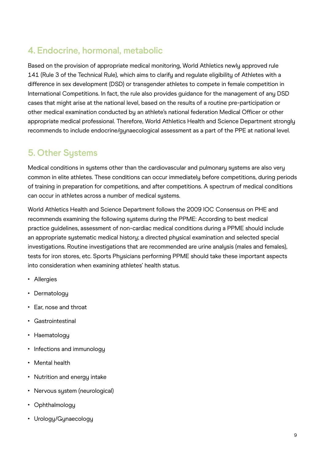### <span id="page-8-0"></span>**4. Endocrine, hormonal, metabolic**

Based on the provision of appropriate medical monitoring, World Athletics newly approved rule 141 (Rule 3 of the Technical Rule), which aims to clarify and regulate eligibility of Athletes with a difference in sex development (DSD) or transgender athletes to compete in female competition in International Competitions. In fact, the rule also provides guidance for the management of any DSD cases that might arise at the national level, based on the results of a routine pre-participation or other medical examination conducted by an athlete's national federation Medical Officer or other appropriate medical professional. Therefore, World Athletics Health and Science Department strongly recommends to include endocrine/gynaecological assessment as a part of the PPE at national level.

### **5. Other Systems**

Medical conditions in systems other than the cardiovascular and pulmonary systems are also very common in elite athletes. These conditions can occur immediately before competitions, during periods of training in preparation for competitions, and after competitions. A spectrum of medical conditions can occur in athletes across a number of medical systems.

World Athletics Health and Science Department follows the 2009 IOC Consensus on PHE and recommends examining the following systems during the PPME: According to best medical practice guidelines, assessment of non-cardiac medical conditions during a PPME should include an appropriate systematic medical history; a directed physical examination and selected special investigations. Routine investigations that are recommended are urine analysis (males and females), tests for iron stores, etc. Sports Physicians performing PPME should take these important aspects into consideration when examining athletes' health status.

- Allergies
- Dermatology
- Ear, nose and throat
- Gastrointestinal
- Haematology
- Infections and immunology
- Mental health
- Nutrition and energy intake
- Nervous system (neurological)
- Ophthalmology
- Urology/Gynaecology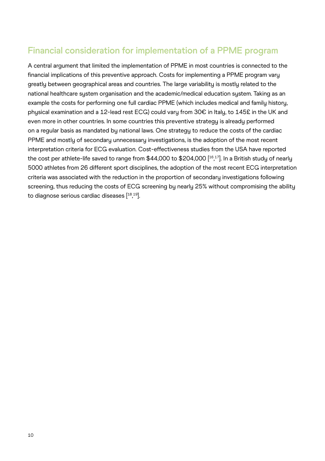### <span id="page-9-0"></span>**Financial consideration for implementation of a PPME program**

A central argument that limited the implementation of PPME in most countries is connected to the financial implications of this preventive approach. Costs for implementing a PPME program vary greatly between geographical areas and countries. The large variability is mostly related to the national healthcare system organisation and the academic/medical education system. Taking as an example the costs for performing one full cardiac PPME (which includes medical and family history, physical examination and a 12-lead rest ECG) could vary from 30€ in Italy, to 145£ in the UK and even more in other countries. In some countries this preventive strategy is already performed on a regular basis as mandated by national laws. One strategy to reduce the costs of the cardiac PPME and mostly of secondary unnecessary investigations, is the adoption of the most recent interpretation criteria for ECG evaluation. Cost-effectiveness studies from the USA have reported the cost per athlete-life saved to range from \$44,000 to \$204,000 [[16](#page-12-0) [17](#page-12-0)]. In a British study of nearly , 5000 athletes from 26 different sport disciplines, the adoption of the most recent ECG interpretation criteria was associated with the reduction in the proportion of secondary investigations following screening, thus reducing the costs of ECG screening by nearly 25% without compromising the ability to diagnose serious cardiac diseases [[18](#page-12-0) [19](#page-12-0)]. ,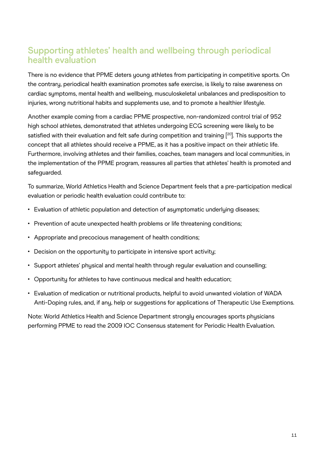### <span id="page-10-0"></span>**Supporting athletes' health and wellbeing through periodical health evaluation**

There is no evidence that PPME deters young athletes from participating in competitive sports. On the contrary, periodical health examination promotes safe exercise, is likely to raise awareness on cardiac symptoms, mental health and wellbeing, musculoskeletal unbalances and predisposition to injuries, wrong nutritional habits and supplements use, and to promote a healthier lifestyle.

Another example coming from a cardiac PPME prospective, non-randomized control trial of 952 high school athletes, demonstrated that athletes undergoing ECG screening were likely to be satisfied with their evaluation and felt safe during competition and training [<sup>20</sup>]. This supports the concept that all athletes should receive a PPME, as it has a positive impact on their athletic life. Furthermore, involving athletes and their families, coaches, team managers and local communities, in the implementation of the PPME program, reassures all parties that athletes' health is promoted and safeguarded.

To summarize, World Athletics Health and Science Department feels that a pre-participation medical evaluation or periodic health evaluation could contribute to:

- Evaluation of athletic population and detection of asymptomatic underlying diseases;
- Prevention of acute unexpected health problems or life threatening conditions;
- Appropriate and precocious management of health conditions;
- Decision on the opportunity to participate in intensive sport activity;
- Support athletes' physical and mental health through regular evaluation and counselling;
- Opportunity for athletes to have continuous medical and health education;
- Evaluation of medication or nutritional products, helpful to avoid unwanted violation of WADA Anti-Doping rules, and, if any, help or suggestions for applications of Therapeutic Use Exemptions.

Note: World Athletics Health and Science Department strongly encourages sports physicians performing PPME to read the 2009 IOC Consensus statement for Periodic Health Evaluation.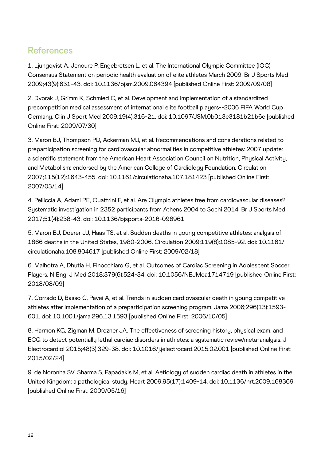#### <span id="page-11-0"></span>**References**

[1.](#page-3-0) Ljungqvist A, Jenoure P, Engebretsen L, et al. The International Olympic Committee (IOC) Consensus Statement on periodic health evaluation of elite athletes March 2009. Br J Sports Med 2009;43(9):631-43. doi: 10.1136/bjsm.2009.064394 [published Online First: 2009/09/08]

[2.](#page-3-0) Dvorak J, Grimm K, Schmied C, et al. Development and implementation of a standardized precompetition medical assessment of international elite football players--2006 FIFA World Cup Germany. Clin J Sport Med 2009;19(4):316-21. doi: 10.1097/JSM.0b013e3181b21b6e [published Online First: 2009/07/30]

[3.](#page-4-0) Maron BJ, Thompson PD, Ackerman MJ, et al. Recommendations and considerations related to preparticipation screening for cardiovascular abnormalities in competitive athletes: 2007 update: a scientific statement from the American Heart Association Council on Nutrition, Physical Activity, and Metabolism: endorsed by the American College of Cardiology Foundation. Circulation 2007;115(12):1643-455. doi: 10.1161/circulationaha.107.181423 [published Online First: 2007/03/14]

[4.](#page-4-0) Pelliccia A, Adami PE, Quattrini F, et al. Are Olympic athletes free from cardiovascular diseases? Systematic investigation in 2352 participants from Athens 2004 to Sochi 2014. Br J Sports Med 2017;51(4):238-43. doi: 10.1136/bjsports-2016-096961

[5.](#page-4-0) Maron BJ, Doerer JJ, Haas TS, et al. Sudden deaths in young competitive athletes: analysis of 1866 deaths in the United States, 1980-2006. Circulation 2009;119(8):1085-92. doi: 10.1161/ circulationaha.108.804617 [published Online First: 2009/02/18]

[6.](#page-4-0) Malhotra A, Dhutia H, Finocchiaro G, et al. Outcomes of Cardiac Screening in Adolescent Soccer Players. N Engl J Med 2018;379(6):524-34. doi: 10.1056/NEJMoa1714719 [published Online First: 2018/08/09]

[7.](#page-4-0) Corrado D, Basso C, Pavei A, et al. Trends in sudden cardiovascular death in young competitive athletes after implementation of a preparticipation screening program. Jama 2006;296(13):1593- 601. doi: 10.1001/jama.296.13.1593 [published Online First: 2006/10/05]

[8.](#page-4-0) Harmon KG, Zigman M, Drezner JA. The effectiveness of screening history, physical exam, and ECG to detect potentially lethal cardiac disorders in athletes: a systematic review/meta-analysis. J Electrocardiol 2015;48(3):329-38. doi: 10.1016/j.jelectrocard.2015.02.001 [published Online First: 2015/02/24]

[9.](#page-4-0) de Noronha SV, Sharma S, Papadakis M, et al. Aetiology of sudden cardiac death in athletes in the United Kingdom: a pathological study. Heart 2009;95(17):1409-14. doi: 10.1136/hrt.2009.168369 [published Online First: 2009/05/16]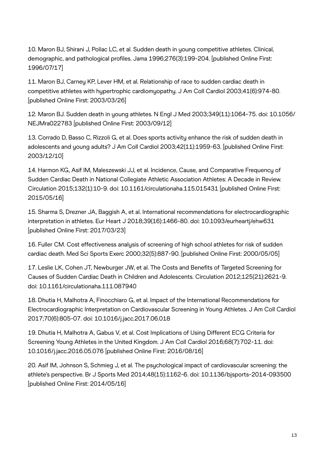<span id="page-12-0"></span>[10.](#page-4-0) Maron BJ, Shirani J, Poliac LC, et al. Sudden death in young competitive athletes. Clinical, demographic, and pathological profiles. Jama 1996;276(3):199-204. [published Online First: 1996/07/17]

[11.](#page-5-0) Maron BJ, Carney KP, Lever HM, et al. Relationship of race to sudden cardiac death in competitive athletes with hypertrophic cardiomyopathy. J Am Coll Cardiol 2003;41(6):974-80. [published Online First: 2003/03/26]

[12.](#page-5-0) Maron BJ. Sudden death in young athletes. N Engl J Med 2003;349(11):1064-75. doi: 10.1056/ NEJMra022783 [published Online First: 2003/09/12]

13. Corrado D, Basso C, Rizzoli G, et al. Does sports activity enhance the risk of sudden death in adolescents and young adults? J Am Coll Cardiol 2003;42(11):1959-63. [published Online First: 2003/12/10]

[14.](#page-5-0) Harmon KG, Asif IM, Maleszewski JJ, et al. Incidence, Cause, and Comparative Frequency of Sudden Cardiac Death in National Collegiate Athletic Association Athletes: A Decade in Review. Circulation 2015;132(1):10-9. doi: 10.1161/circulationaha.115.015431 [published Online First: 2015/05/16]

[15.](#page-5-0) Sharma S, Drezner JA, Baggish A, et al. International recommendations for electrocardiographic interpretation in athletes. Eur Heart J 2018;39(16):1466-80. doi: 10.1093/eurheartj/ehw631 [published Online First: 2017/03/23]

[16.](#page-9-0) Fuller CM. Cost effectiveness analysis of screening of high school athletes for risk of sudden cardiac death. Med Sci Sports Exerc 2000;32(5):887-90. [published Online First: 2000/05/05]

[17.](#page-9-0) Leslie LK, Cohen JT, Newburger JW, et al. The Costs and Benefits of Targeted Screening for Causes of Sudden Cardiac Death in Children and Adolescents. Circulation 2012;125(21):2621-9. doi: 10.1161/circulationaha.111.087940

[18.](#page-9-0) Dhutia H, Malhotra A, Finocchiaro G, et al. Impact of the International Recommendations for Electrocardiographic Interpretation on Cardiovascular Screening in Young Athletes. J Am Coll Cardiol 2017;70(6):805-07. doi: 10.1016/j.jacc.2017.06.018

[19.](#page-9-0) Dhutia H, Malhotra A, Gabus V, et al. Cost Implications of Using Different ECG Criteria for Screening Young Athletes in the United Kingdom. J Am Coll Cardiol 2016;68(7):702-11. doi: 10.1016/j.jacc.2016.05.076 [published Online First: 2016/08/16]

[20.](#page-10-0) Asif IM, Johnson S, Schmieg J, et al. The psychological impact of cardiovascular screening: the athlete's perspective. Br J Sports Med 2014;48(15):1162-6. doi: 10.1136/bjsports-2014-093500 [published Online First: 2014/05/16]